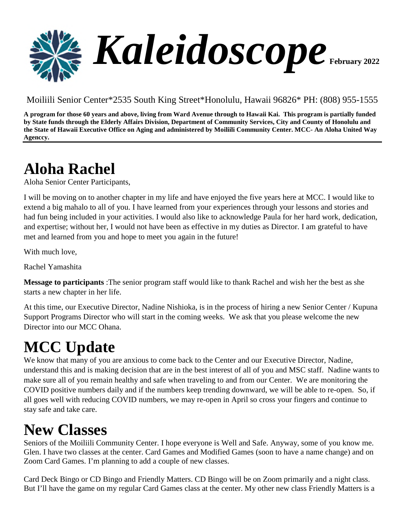

Moiliili Senior Center\*2535 South King Street\*Honolulu, Hawaii 96826\* PH: (808) 955-1555

**A program for those 60 years and above, living from Ward Avenue through to Hawaii Kai. This program is partially funded by State funds through the Elderly Affairs Division, Department of Community Services, City and County of Honolulu and the State of Hawaii Executive Office on Aging and administered by Moiliili Community Center. MCC- An Aloha United Way Agenccy.**

#### **Aloha Rachel**

Aloha Senior Center Participants,

I will be moving on to another chapter in my life and have enjoyed the five years here at MCC. I would like to extend a big mahalo to all of you. I have learned from your experiences through your lessons and stories and had fun being included in your activities. I would also like to acknowledge Paula for her hard work, dedication, and expertise; without her, I would not have been as effective in my duties as Director. I am grateful to have met and learned from you and hope to meet you again in the future!

With much love,

Rachel Yamashita

**Message to participants** :The senior program staff would like to thank Rachel and wish her the best as she starts a new chapter in her life.

At this time, our Executive Director, Nadine Nishioka, is in the process of hiring a new Senior Center / Kupuna Support Programs Director who will start in the coming weeks. We ask that you please welcome the new Director into our MCC Ohana.

#### **MCC Update**

We know that many of you are anxious to come back to the Center and our Executive Director, Nadine, understand this and is making decision that are in the best interest of all of you and MSC staff. Nadine wants to make sure all of you remain healthy and safe when traveling to and from our Center. We are monitoring the COVID positive numbers daily and if the numbers keep trending downward, we will be able to re-open. So, if all goes well with reducing COVID numbers, we may re-open in April so cross your fingers and continue to stay safe and take care.

#### **New Classes**

Seniors of the Moiliili Community Center. I hope everyone is Well and Safe. Anyway, some of you know me. Glen. I have two classes at the center. Card Games and Modified Games (soon to have a name change) and on Zoom Card Games. I'm planning to add a couple of new classes.

Card Deck Bingo or CD Bingo and Friendly Matters. CD Bingo will be on Zoom primarily and a night class. But I'll have the game on my regular Card Games class at the center. My other new class Friendly Matters is a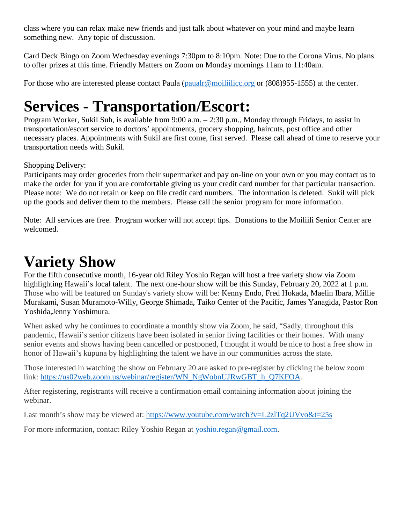class where you can relax make new friends and just talk about whatever on your mind and maybe learn something new. Any topic of discussion.

Card Deck Bingo on Zoom Wednesday evenings 7:30pm to 8:10pm. Note: Due to the Corona Virus. No plans to offer prizes at this time. Friendly Matters on Zoom on Monday mornings 11am to 11:40am.

For those who are interested please contact Paula [\(paualr@moiliilicc.org](mailto:paualr@moiliilicc.org) or  $(808)955-1555$ ) at the center.

#### **Services - Transportation/Escort:**

Program Worker, Sukil Suh, is available from 9:00 a.m. – 2:30 p.m., Monday through Fridays, to assist in transportation/escort service to doctors' appointments, grocery shopping, haircuts, post office and other necessary places. Appointments with Sukil are first come, first served. Please call ahead of time to reserve your transportation needs with Sukil.

Shopping Delivery:

Participants may order groceries from their supermarket and pay on-line on your own or you may contact us to make the order for you if you are comfortable giving us your credit card number for that particular transaction. Please note: We do not retain or keep on file credit card numbers. The information is deleted. Sukil will pick up the goods and deliver them to the members. Please call the senior program for more information.

Note: All services are free. Program worker will not accept tips. Donations to the Moiliili Senior Center are welcomed.

#### **Variety Show**

For the fifth consecutive month, 16-year old Riley Yoshio Regan will host a free variety show via Zoom highlighting Hawaii's local talent. The next one-hour show will be this Sunday, February 20, 2022 at 1 p.m. Those who will be featured on Sunday's variety show will be: Kenny Endo, Fred Hokada, Maelin Ibara, Millie Murakami, Susan Muramoto-Willy, George Shimada, Taiko Center of the Pacific, James Yanagida, Pastor Ron Yoshida,Jenny Yoshimura.

When asked why he continues to coordinate a monthly show via Zoom, he said, "Sadly, throughout this pandemic, Hawaii's senior citizens have been isolated in senior living facilities or their homes. With many senior events and shows having been cancelled or postponed, I thought it would be nice to host a free show in honor of Hawaii's kupuna by highlighting the talent we have in our communities across the state.

Those interested in watching the show on February 20 are asked to pre-register by clicking the below zoom link: https://us02web.zoom.us/webinar/register/WN\_NgWobnUJRwGBT\_h\_O7KFOA.

After registering, registrants will receive a confirmation email containing information about joining the webinar.

Last month's show may be viewed at: <https://www.youtube.com/watch?v=L2zlTq2UVvo&t=25s>

For more information, contact Riley Yoshio Regan at [yoshio.regan@gmail.com](mailto:yoshio.regan@gmail.com).